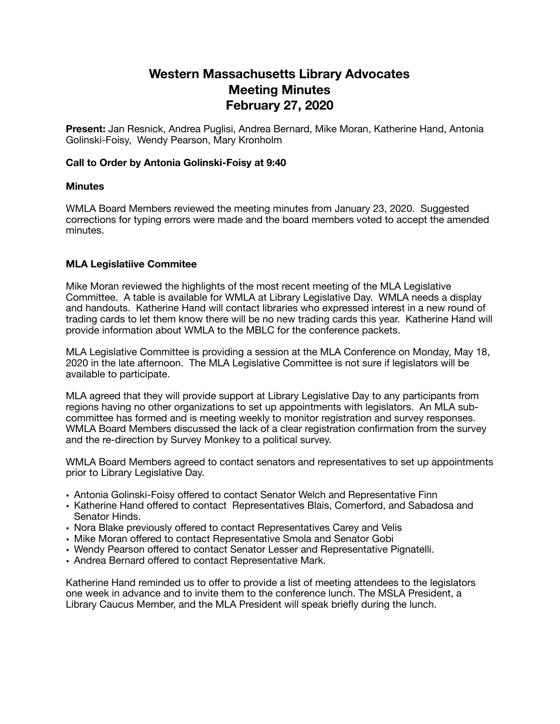# **Western Massachusetts Library Advocates Meeting Minutes February 27, 2020**

**Present:** Jan Resnick, Andrea Puglisi, Andrea Bernard, Mike Moran, Katherine Hand, Antonia Golinski-Foisy, Wendy Pearson, Mary Kronholm

#### **Call to Order by Antonia Golinski-Foisy at 9:40**

#### **Minutes**

WMLA Board Members reviewed the meeting minutes from January 23, 2020. Suggested corrections for typing errors were made and the board members voted to accept the amended minutes.

### **MLA Legislatiive Commitee**

Mike Moran reviewed the highlights of the most recent meeting of the MLA Legislative Committee. A table is available for WMLA at Library Legislative Day. WMLA needs a display and handouts. Katherine Hand will contact libraries who expressed interest in a new round of trading cards to let them know there will be no new trading cards this year. Katherine Hand will provide information about WMLA to the MBLC for the conference packets.

MLA Legislative Committee is providing a session at the MLA Conference on Monday, May 18, 2020 in the late afternoon. The MLA Legislative Committee is not sure if legislators will be available to participate.

MLA agreed that they will provide support at Library Legislative Day to any participants from regions having no other organizations to set up appointments with legislators. An MLA subcommittee has formed and is meeting weekly to monitor registration and survey responses. WMLA Board Members discussed the lack of a clear registration confirmation from the survey and the re-direction by Survey Monkey to a political survey.

WMLA Board Members agreed to contact senators and representatives to set up appointments prior to Library Legislative Day.

- Antonia Golinski-Foisy offered to contact Senator Welch and Representative Finn
- Katherine Hand offered to contact Representatives Blais, Comerford, and Sabadosa and Senator Hinds.
- Nora Blake previously offered to contact Representatives Carey and Velis
- Mike Moran offered to contact Representative Smola and Senator Gobi
- Wendy Pearson offered to contact Senator Lesser and Representative Pignatelli.
- Andrea Bernard offered to contact Representative Mark.

Katherine Hand reminded us to offer to provide a list of meeting attendees to the legislators one week in advance and to invite them to the conference lunch. The MSLA President, a Library Caucus Member, and the MLA President will speak briefly during the lunch.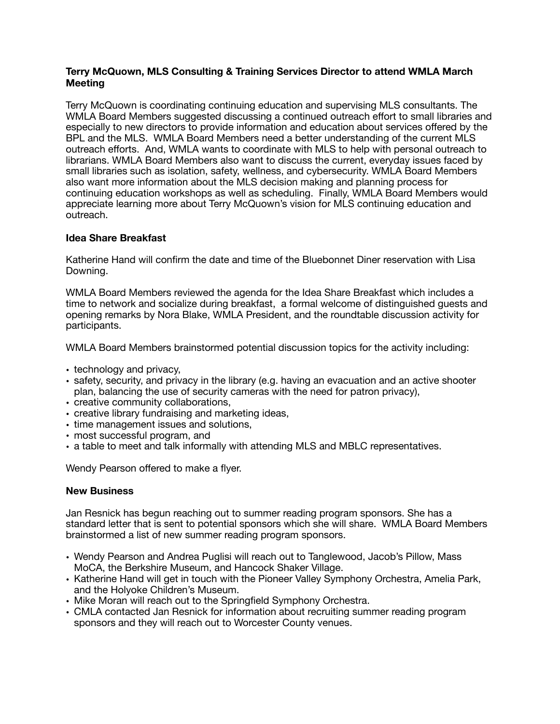# **Terry McQuown, MLS Consulting & Training Services Director to attend WMLA March Meeting**

Terry McQuown is coordinating continuing education and supervising MLS consultants. The WMLA Board Members suggested discussing a continued outreach effort to small libraries and especially to new directors to provide information and education about services offered by the BPL and the MLS. WMLA Board Members need a better understanding of the current MLS outreach efforts. And, WMLA wants to coordinate with MLS to help with personal outreach to librarians. WMLA Board Members also want to discuss the current, everyday issues faced by small libraries such as isolation, safety, wellness, and cybersecurity. WMLA Board Members also want more information about the MLS decision making and planning process for continuing education workshops as well as scheduling. Finally, WMLA Board Members would appreciate learning more about Terry McQuown's vision for MLS continuing education and outreach.

# **Idea Share Breakfast**

Katherine Hand will confirm the date and time of the Bluebonnet Diner reservation with Lisa Downing.

WMLA Board Members reviewed the agenda for the Idea Share Breakfast which includes a time to network and socialize during breakfast, a formal welcome of distinguished guests and opening remarks by Nora Blake, WMLA President, and the roundtable discussion activity for participants.

WMLA Board Members brainstormed potential discussion topics for the activity including:

- technology and privacy,
- safety, security, and privacy in the library (e.g. having an evacuation and an active shooter plan, balancing the use of security cameras with the need for patron privacy),
- creative community collaborations,
- creative library fundraising and marketing ideas,
- time management issues and solutions,
- most successful program, and
- a table to meet and talk informally with attending MLS and MBLC representatives.

Wendy Pearson offered to make a flyer.

# **New Business**

Jan Resnick has begun reaching out to summer reading program sponsors. She has a standard letter that is sent to potential sponsors which she will share. WMLA Board Members brainstormed a list of new summer reading program sponsors.

- Wendy Pearson and Andrea Puglisi will reach out to Tanglewood, Jacob's Pillow, Mass MoCA, the Berkshire Museum, and Hancock Shaker Village.
- Katherine Hand will get in touch with the Pioneer Valley Symphony Orchestra, Amelia Park, and the Holyoke Children's Museum.
- Mike Moran will reach out to the Springfield Symphony Orchestra.
- CMLA contacted Jan Resnick for information about recruiting summer reading program sponsors and they will reach out to Worcester County venues.